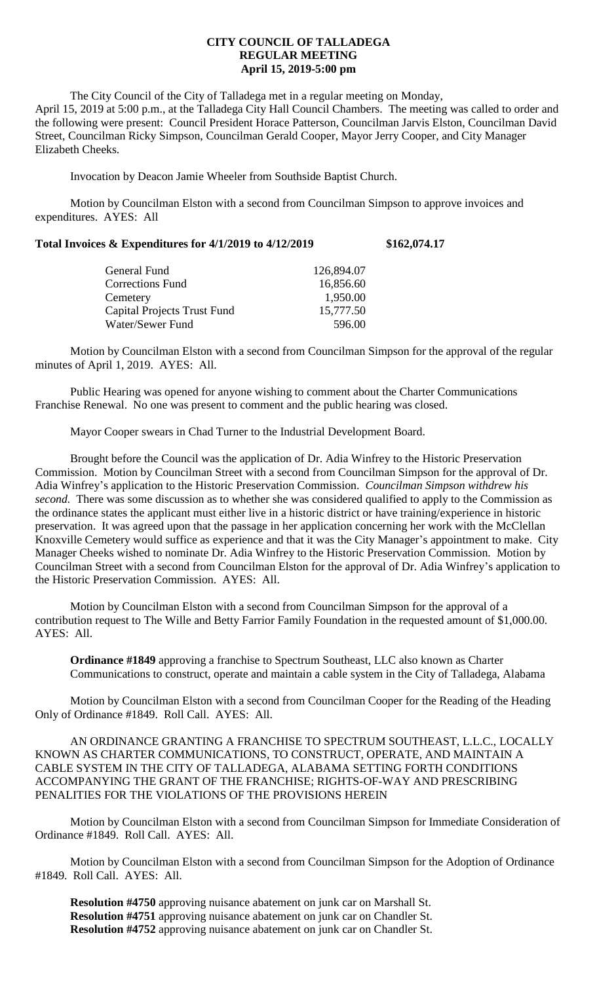## **CITY COUNCIL OF TALLADEGA REGULAR MEETING April 15, 2019-5:00 pm**

The City Council of the City of Talladega met in a regular meeting on Monday, April 15, 2019 at 5:00 p.m., at the Talladega City Hall Council Chambers. The meeting was called to order and the following were present: Council President Horace Patterson, Councilman Jarvis Elston, Councilman David Street, Councilman Ricky Simpson, Councilman Gerald Cooper, Mayor Jerry Cooper, and City Manager Elizabeth Cheeks.

Invocation by Deacon Jamie Wheeler from Southside Baptist Church.

Motion by Councilman Elston with a second from Councilman Simpson to approve invoices and expenditures. AYES: All

| Total Invoices & Expenditures for 4/1/2019 to 4/12/2019 | \$162,074.17 |
|---------------------------------------------------------|--------------|
|---------------------------------------------------------|--------------|

| General Fund                       | 126,894.07 |
|------------------------------------|------------|
| <b>Corrections Fund</b>            | 16,856.60  |
| Cemetery                           | 1,950.00   |
| <b>Capital Projects Trust Fund</b> | 15,777.50  |
| Water/Sewer Fund                   | 596.00     |

Motion by Councilman Elston with a second from Councilman Simpson for the approval of the regular minutes of April 1, 2019. AYES: All.

Public Hearing was opened for anyone wishing to comment about the Charter Communications Franchise Renewal. No one was present to comment and the public hearing was closed.

Mayor Cooper swears in Chad Turner to the Industrial Development Board.

Brought before the Council was the application of Dr. Adia Winfrey to the Historic Preservation Commission. Motion by Councilman Street with a second from Councilman Simpson for the approval of Dr. Adia Winfrey's application to the Historic Preservation Commission. *Councilman Simpson withdrew his second.* There was some discussion as to whether she was considered qualified to apply to the Commission as the ordinance states the applicant must either live in a historic district or have training/experience in historic preservation. It was agreed upon that the passage in her application concerning her work with the McClellan Knoxville Cemetery would suffice as experience and that it was the City Manager's appointment to make. City Manager Cheeks wished to nominate Dr. Adia Winfrey to the Historic Preservation Commission. Motion by Councilman Street with a second from Councilman Elston for the approval of Dr. Adia Winfrey's application to the Historic Preservation Commission. AYES: All.

Motion by Councilman Elston with a second from Councilman Simpson for the approval of a contribution request to The Wille and Betty Farrior Family Foundation in the requested amount of \$1,000.00. AYES: All.

**Ordinance #1849** approving a franchise to Spectrum Southeast, LLC also known as Charter Communications to construct, operate and maintain a cable system in the City of Talladega, Alabama

Motion by Councilman Elston with a second from Councilman Cooper for the Reading of the Heading Only of Ordinance #1849. Roll Call. AYES: All.

AN ORDINANCE GRANTING A FRANCHISE TO SPECTRUM SOUTHEAST, L.L.C., LOCALLY KNOWN AS CHARTER COMMUNICATIONS, TO CONSTRUCT, OPERATE, AND MAINTAIN A CABLE SYSTEM IN THE CITY OF TALLADEGA, ALABAMA SETTING FORTH CONDITIONS ACCOMPANYING THE GRANT OF THE FRANCHISE; RIGHTS-OF-WAY AND PRESCRIBING PENALITIES FOR THE VIOLATIONS OF THE PROVISIONS HEREIN

Motion by Councilman Elston with a second from Councilman Simpson for Immediate Consideration of Ordinance #1849. Roll Call. AYES: All.

Motion by Councilman Elston with a second from Councilman Simpson for the Adoption of Ordinance #1849. Roll Call. AYES: All.

**Resolution #4750** approving nuisance abatement on junk car on Marshall St. **Resolution #4751** approving nuisance abatement on junk car on Chandler St. **Resolution #4752** approving nuisance abatement on junk car on Chandler St.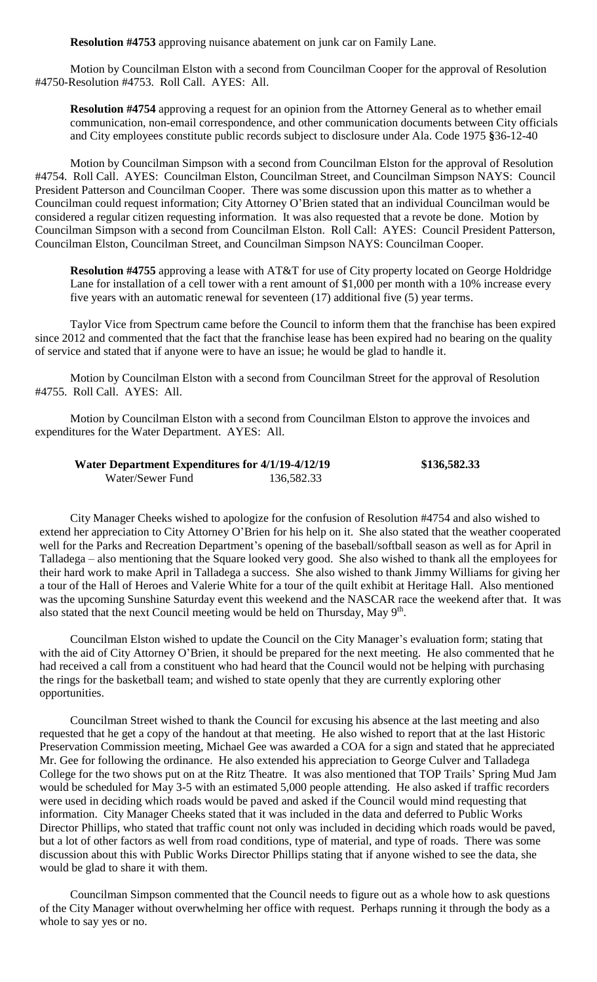**Resolution #4753** approving nuisance abatement on junk car on Family Lane.

Motion by Councilman Elston with a second from Councilman Cooper for the approval of Resolution #4750-Resolution #4753. Roll Call. AYES: All.

**Resolution #4754** approving a request for an opinion from the Attorney General as to whether email communication, non-email correspondence, and other communication documents between City officials and City employees constitute public records subject to disclosure under Ala. Code 1975 **§**36-12-40

Motion by Councilman Simpson with a second from Councilman Elston for the approval of Resolution #4754. Roll Call. AYES: Councilman Elston, Councilman Street, and Councilman Simpson NAYS: Council President Patterson and Councilman Cooper. There was some discussion upon this matter as to whether a Councilman could request information; City Attorney O'Brien stated that an individual Councilman would be considered a regular citizen requesting information. It was also requested that a revote be done. Motion by Councilman Simpson with a second from Councilman Elston. Roll Call: AYES: Council President Patterson, Councilman Elston, Councilman Street, and Councilman Simpson NAYS: Councilman Cooper.

**Resolution #4755** approving a lease with AT&T for use of City property located on George Holdridge Lane for installation of a cell tower with a rent amount of \$1,000 per month with a 10% increase every five years with an automatic renewal for seventeen (17) additional five (5) year terms.

Taylor Vice from Spectrum came before the Council to inform them that the franchise has been expired since 2012 and commented that the fact that the franchise lease has been expired had no bearing on the quality of service and stated that if anyone were to have an issue; he would be glad to handle it.

Motion by Councilman Elston with a second from Councilman Street for the approval of Resolution #4755. Roll Call. AYES: All.

Motion by Councilman Elston with a second from Councilman Elston to approve the invoices and expenditures for the Water Department. AYES: All.

## **Water Department Expenditures for 4/1/19-4/12/19 \$136,582.33** Water/Sewer Fund 136,582.33

City Manager Cheeks wished to apologize for the confusion of Resolution #4754 and also wished to extend her appreciation to City Attorney O'Brien for his help on it. She also stated that the weather cooperated well for the Parks and Recreation Department's opening of the baseball/softball season as well as for April in Talladega – also mentioning that the Square looked very good. She also wished to thank all the employees for their hard work to make April in Talladega a success. She also wished to thank Jimmy Williams for giving her a tour of the Hall of Heroes and Valerie White for a tour of the quilt exhibit at Heritage Hall. Also mentioned was the upcoming Sunshine Saturday event this weekend and the NASCAR race the weekend after that. It was also stated that the next Council meeting would be held on Thursday, May  $9<sup>th</sup>$ .

Councilman Elston wished to update the Council on the City Manager's evaluation form; stating that with the aid of City Attorney O'Brien, it should be prepared for the next meeting. He also commented that he had received a call from a constituent who had heard that the Council would not be helping with purchasing the rings for the basketball team; and wished to state openly that they are currently exploring other opportunities.

Councilman Street wished to thank the Council for excusing his absence at the last meeting and also requested that he get a copy of the handout at that meeting. He also wished to report that at the last Historic Preservation Commission meeting, Michael Gee was awarded a COA for a sign and stated that he appreciated Mr. Gee for following the ordinance. He also extended his appreciation to George Culver and Talladega College for the two shows put on at the Ritz Theatre. It was also mentioned that TOP Trails' Spring Mud Jam would be scheduled for May 3-5 with an estimated 5,000 people attending. He also asked if traffic recorders were used in deciding which roads would be paved and asked if the Council would mind requesting that information. City Manager Cheeks stated that it was included in the data and deferred to Public Works Director Phillips, who stated that traffic count not only was included in deciding which roads would be paved, but a lot of other factors as well from road conditions, type of material, and type of roads. There was some discussion about this with Public Works Director Phillips stating that if anyone wished to see the data, she would be glad to share it with them.

Councilman Simpson commented that the Council needs to figure out as a whole how to ask questions of the City Manager without overwhelming her office with request. Perhaps running it through the body as a whole to say yes or no.